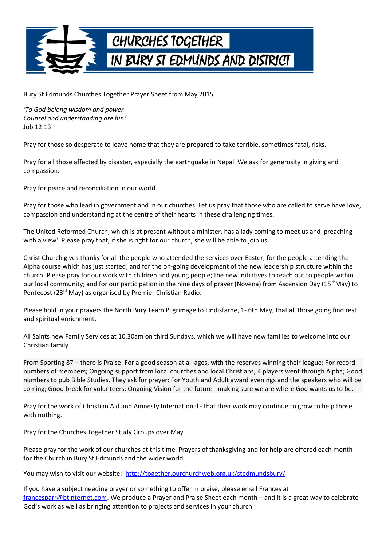

Bury St Edmunds Churches Together Prayer Sheet from May 2015.

*'To God belong wisdom and power Counsel and understanding are his.'* Job 12:13

Pray for those so desperate to leave home that they are prepared to take terrible, sometimes fatal, risks.

Pray for all those affected by disaster, especially the earthquake in Nepal. We ask for generosity in giving and compassion.

Pray for peace and reconciliation in our world.

Pray for those who lead in government and in our churches. Let us pray that those who are called to serve have love, compassion and understanding at the centre of their hearts in these challenging times.

The United Reformed Church, which is at present without a minister, has a lady coming to meet us and 'preaching with a view'. Please pray that, if she is right for our church, she will be able to join us.

Christ Church gives thanks for all the people who attended the services over Easter; for the people attending the Alpha course which has just started; and for the on-going development of the new leadership structure within the church. Please pray for our work with children and young people; the new initiatives to reach out to people within our local community; and for our participation in the nine days of prayer (Novena) from Ascension Day (15<sup>th</sup>May) to Pentecost (23<sup>rd</sup> May) as organised by Premier Christian Radio.

Please hold in your prayers the North Bury Team Pilgrimage to Lindisfarne, 1- 6th May, that all those going find rest and spiritual enrichment.

All Saints new Family Services at 10.30am on third Sundays, which we will have new families to welcome into our Christian family.

From Sporting 87 – there is Praise: For a good season at all ages, with the reserves winning their league; For record numbers of members; Ongoing support from local churches and local Christians; 4 players went through Alpha; Good numbers to pub Bible Studies. They ask for prayer: For Youth and Adult award evenings and the speakers who will be coming; Good break for volunteers; Ongoing Vision for the future - making sure we are where God wants us to be.

Pray for the work of Christian Aid and Amnesty International - that their work may continue to grow to help those with nothing.

Pray for the Churches Together Study Groups over May.

Please pray for the work of our churches at this time. Prayers of thanksgiving and for help are offered each month for the Church in Bury St Edmunds and the wider world.

You may wish to visit our website: http://together.ourchurchweb.org.uk/stedmundsbury/

If you have a subject needing prayer or something to offer in praise, please email Frances at [francesparr@btinternet.com.](mailto:francesparr@btinternet.com) We produce a Prayer and Praise Sheet each month – and it is a great way to celebrate God's work as well as bringing attention to projects and services in your church.